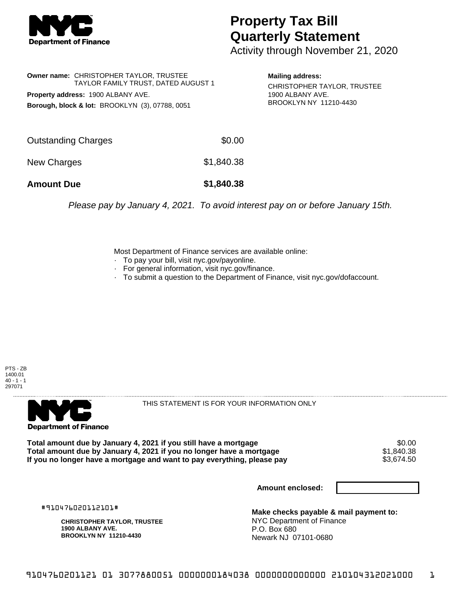

## **Property Tax Bill Quarterly Statement**

Activity through November 21, 2020

**Owner name:** CHRISTOPHER TAYLOR, TRUSTEE TAYLOR FAMILY TRUST, DATED AUGUST 1 **Property address:** 1900 ALBANY AVE. **Borough, block & lot:** BROOKLYN (3), 07788, 0051

**Mailing address:** CHRISTOPHER TAYLOR, TRUSTEE 1900 ALBANY AVE. BROOKLYN NY 11210-4430

| <b>Amount Due</b>   | \$1,840.38 |
|---------------------|------------|
| New Charges         | \$1,840.38 |
| Outstanding Charges | \$0.00     |

Please pay by January 4, 2021. To avoid interest pay on or before January 15th.

Most Department of Finance services are available online:

- · To pay your bill, visit nyc.gov/payonline.
- For general information, visit nyc.gov/finance.
- · To submit a question to the Department of Finance, visit nyc.gov/dofaccount.





THIS STATEMENT IS FOR YOUR INFORMATION ONLY

Total amount due by January 4, 2021 if you still have a mortgage **\$0.00** \$0.00<br>Total amount due by January 4, 2021 if you no longer have a mortgage **\$1.840.38 Total amount due by January 4, 2021 if you no longer have a mortgage**  $$1,840.38$ **<br>If you no longer have a mortgage and want to pay everything, please pay**  $$3,674.50$ If you no longer have a mortgage and want to pay everything, please pay

**Amount enclosed:**

#910476020112101#

**CHRISTOPHER TAYLOR, TRUSTEE 1900 ALBANY AVE. BROOKLYN NY 11210-4430**

**Make checks payable & mail payment to:** NYC Department of Finance P.O. Box 680 Newark NJ 07101-0680